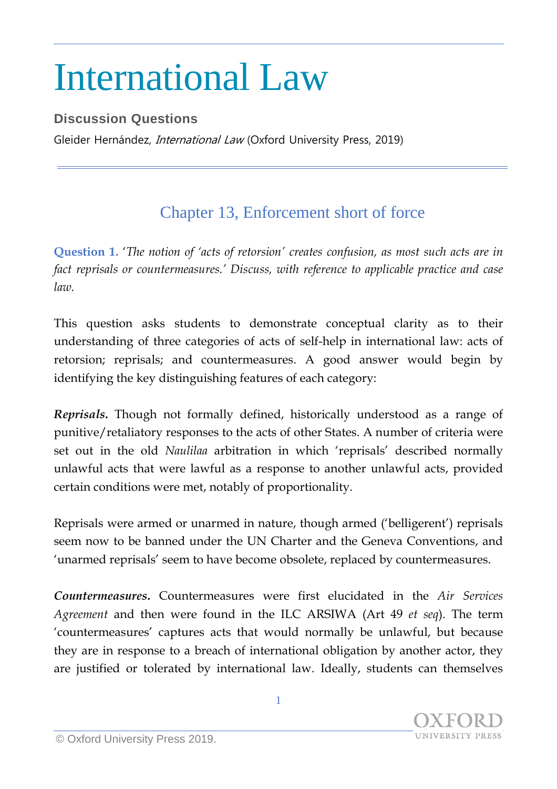## International Law

## **Discussion Questions**

Gleider Hernández, *International Law* (Oxford University Press, 2019)

## Chapter 13, Enforcement short of force

**Question 1.** '*The notion of 'acts of retorsion' creates confusion, as most such acts are in fact reprisals or countermeasures.' Discuss, with reference to applicable practice and case law.*

This question asks students to demonstrate conceptual clarity as to their understanding of three categories of acts of self-help in international law: acts of retorsion; reprisals; and countermeasures. A good answer would begin by identifying the key distinguishing features of each category:

*Reprisals***.** Though not formally defined, historically understood as a range of punitive/retaliatory responses to the acts of other States. A number of criteria were set out in the old *Naulilaa* arbitration in which 'reprisals' described normally unlawful acts that were lawful as a response to another unlawful acts, provided certain conditions were met, notably of proportionality.

Reprisals were armed or unarmed in nature, though armed ('belligerent') reprisals seem now to be banned under the UN Charter and the Geneva Conventions, and 'unarmed reprisals' seem to have become obsolete, replaced by countermeasures.

*Countermeasures***.** Countermeasures were first elucidated in the *Air Services Agreement* and then were found in the ILC ARSIWA (Art 49 *et seq*). The term 'countermeasures' captures acts that would normally be unlawful, but because they are in response to a breach of international obligation by another actor, they are justified or tolerated by international law. Ideally, students can themselves

**INIVERSITY PRESS**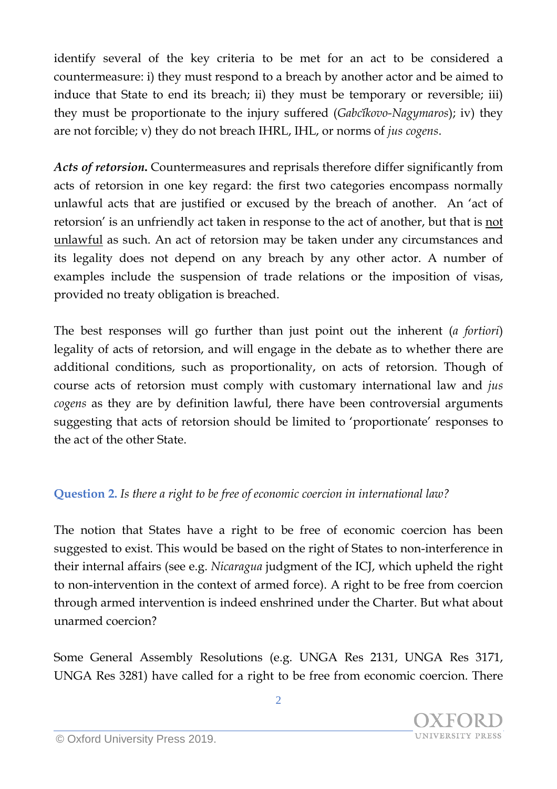identify several of the key criteria to be met for an act to be considered a countermeasure: i) they must respond to a breach by another actor and be aimed to induce that State to end its breach; ii) they must be temporary or reversible; iii) they must be proportionate to the injury suffered (*Gabčíkovo-Nagymaros*); iv) they are not forcible; v) they do not breach IHRL, IHL, or norms of *jus cogens*.

*Acts of retorsion***.** Countermeasures and reprisals therefore differ significantly from acts of retorsion in one key regard: the first two categories encompass normally unlawful acts that are justified or excused by the breach of another. An 'act of retorsion' is an unfriendly act taken in response to the act of another, but that is not unlawful as such. An act of retorsion may be taken under any circumstances and its legality does not depend on any breach by any other actor. A number of examples include the suspension of trade relations or the imposition of visas, provided no treaty obligation is breached.

The best responses will go further than just point out the inherent (*a fortiori*) legality of acts of retorsion, and will engage in the debate as to whether there are additional conditions, such as proportionality, on acts of retorsion. Though of course acts of retorsion must comply with customary international law and *jus cogens* as they are by definition lawful, there have been controversial arguments suggesting that acts of retorsion should be limited to 'proportionate' responses to the act of the other State.

## **Question 2.** *Is there a right to be free of economic coercion in international law?*

The notion that States have a right to be free of economic coercion has been suggested to exist. This would be based on the right of States to non-interference in their internal affairs (see e.g. *Nicaragua* judgment of the ICJ, which upheld the right to non-intervention in the context of armed force). A right to be free from coercion through armed intervention is indeed enshrined under the Charter. But what about unarmed coercion?

Some General Assembly Resolutions (e.g. UNGA Res 2131, UNGA Res 3171, UNGA Res 3281) have called for a right to be free from economic coercion. There

2